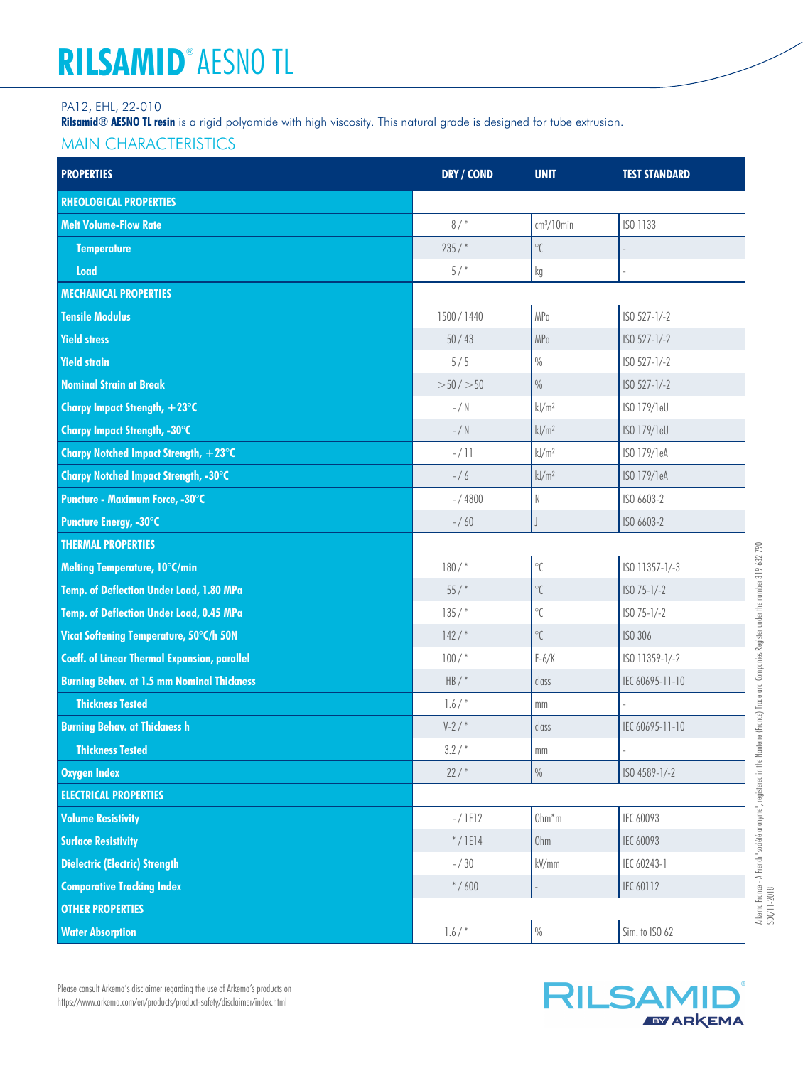# **RILSAMID**® **AESNO TL**

#### PA12, EHL, 22-010

**Rilsamid® AESNO TL resin** is a rigid polyamide with high viscosity. This natural grade is designed for tube extrusion.

### MAIN CHARACTERISTICS

| <b>PROPERTIES</b>                                   | <b>DRY / COND</b> | <b>UNIT</b>              | <b>TEST STANDARD</b> |
|-----------------------------------------------------|-------------------|--------------------------|----------------------|
| <b>RHEOLOGICAL PROPERTIES</b>                       |                   |                          |                      |
| <b>Melt Volume-Flow Rate</b>                        | 8/                | $cm3/10$ min             | ISO 1133             |
| <b>Temperature</b>                                  | 235/              | $^{\circ}\mathcal{C}$    |                      |
| Load                                                | 5/                | kg                       |                      |
| <b>MECHANICAL PROPERTIES</b>                        |                   |                          |                      |
| <b>Tensile Modulus</b>                              | 1500/1440         | MPa                      | ISO 527-1/-2         |
| <b>Yield stress</b>                                 | 50/43             | MPa                      | ISO 527-1/-2         |
| <b>Yield strain</b>                                 | 5/5               | $\frac{0}{0}$            | ISO 527-1/-2         |
| <b>Nominal Strain at Break</b>                      | $>50/$ $>50$      | $\frac{0}{0}$            | ISO 527-1/-2         |
| Charpy Impact Strength, +23°C                       | $-$ / $\mathbb N$ | kJ/m <sup>2</sup>        | ISO 179/1eU          |
| Charpy Impact Strength, -30°C                       | $-$ / $\mathbb N$ | kJ/m <sup>2</sup>        | ISO 179/1eU          |
| Charpy Notched Impact Strength, +23°C               | $-/11$            | kJ/m <sup>2</sup>        | ISO 179/1eA          |
| <b>Charpy Notched Impact Strength, -30°C</b>        | $- / 6$           | kJ/m <sup>2</sup>        | ISO 179/1eA          |
| Puncture - Maximum Force, -30°C                     | $- / 4800$        | $\mathbb N$              | ISO 6603-2           |
| Puncture Energy, -30°C                              | $- / 60$          | $\overline{\phantom{a}}$ | ISO 6603-2           |
| <b>THERMAL PROPERTIES</b>                           |                   |                          |                      |
| Melting Temperature, 10°C/min                       | $180/$ *          | $^\circ\!{\mathbb C}$    | ISO 11357-1/-3       |
| Temp. of Deflection Under Load, 1.80 MPa            | 55/               | $^{\circ}{\mathsf{C}}$   | $ISO 75-1/-2$        |
| Temp. of Deflection Under Load, 0.45 MPa            | $135/$ *          | $^{\circ}{\mathsf{C}}$   | $ISO 75-1/-2$        |
| Vicat Softening Temperature, 50°C/h 50N             | 142/              | $^\circ\!{\rm C}$        | ISO 306              |
| <b>Coeff. of Linear Thermal Expansion, parallel</b> | $100/$ *          | $E-6/K$                  | ISO 11359-1/-2       |
| <b>Burning Behav. at 1.5 mm Nominal Thickness</b>   | $HB/*$            | class                    | IEC 60695-11-10      |
| <b>Thickness Tested</b>                             | 1.6/              | mm                       |                      |
| <b>Burning Behav. at Thickness h</b>                | $V-2/$            | class                    | IEC 60695-11-10      |
| <b>Thickness Tested</b>                             | 3.2/              | mm                       |                      |
| <b>Oxygen Index</b>                                 | 22/               | $\frac{0}{0}$            | ISO 4589-1/-2        |
| <b>ELECTRICAL PROPERTIES</b>                        |                   |                          |                      |
| <b>Volume Resistivity</b>                           | $-/1E12$          | $Ohm*m$                  | IEC 60093            |
| <b>Surface Resistivity</b>                          | $*/IEI4$          | Ohm                      | IEC 60093            |
| <b>Dielectric (Electric) Strength</b>               | $- / 30$          | kV/mm                    | IEC 60243-1          |
| <b>Comparative Tracking Index</b>                   | $* / 600$         |                          | IEC 60112            |
| <b>OTHER PROPERTIES</b>                             |                   |                          |                      |
| <b>Water Absorption</b>                             | 1.6/              | $0\!/_{\!0}$             | Sim. to ISO 62       |



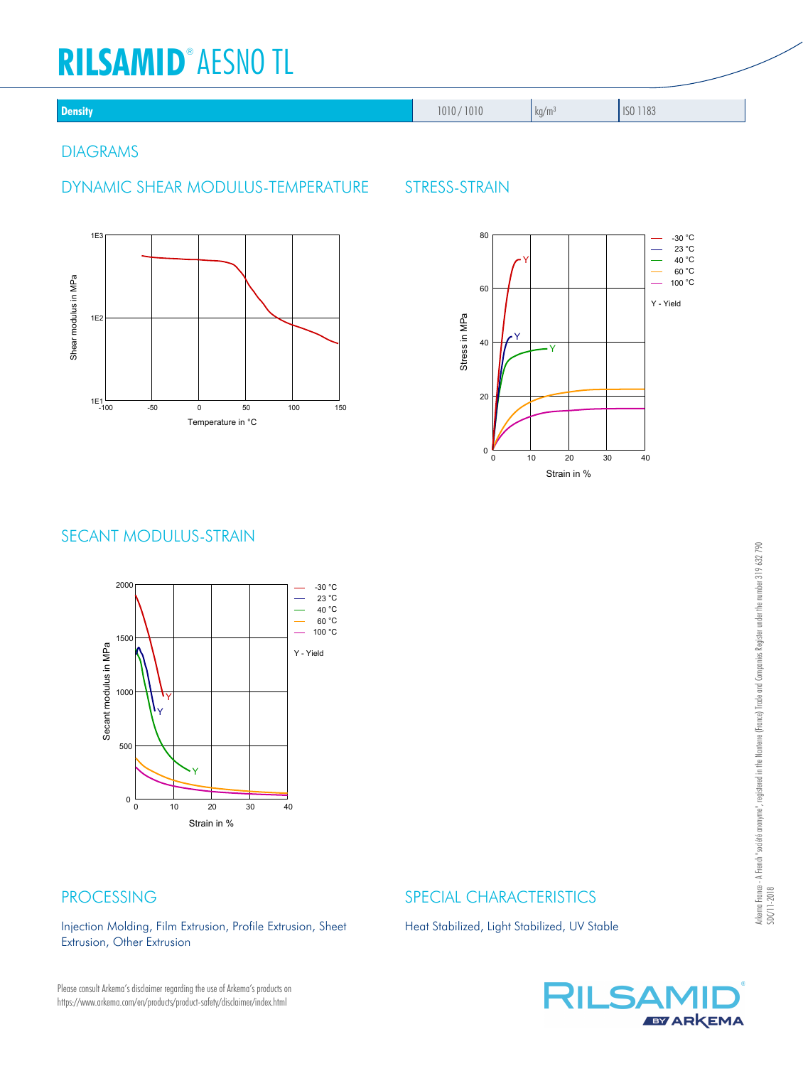# **RILSAMID**® **AESNO TL**

| ٠ | dir<br>٠ |
|---|----------|
|   |          |

**Density 1010 / 1010 / 1010 / 1010 / 1010 / 1010 / 1010 / 1010 / 1010 / 1010 / 1010 / 1010 / 1010 / 1010 / 1183** 

#### DIAGRAMS

## DYNAMIC SHEAR MODULUS-TEMPERATURE STRESS-STRAIN





# SECANT MODULUS-STRAIN



# PROCESSING

Injection Molding, Film Extrusion, Profile Extrusion, Sheet Extrusion, Other Extrusion

# SPECIAL CHARACTERISTICS

Heat Stabilized, Light Stabilized, UV Stable

Please consult Arkema's disclaimer regarding the use of Arkema's products on https://www.arkema.com/en/products/product-safety/disclaimer/index.html